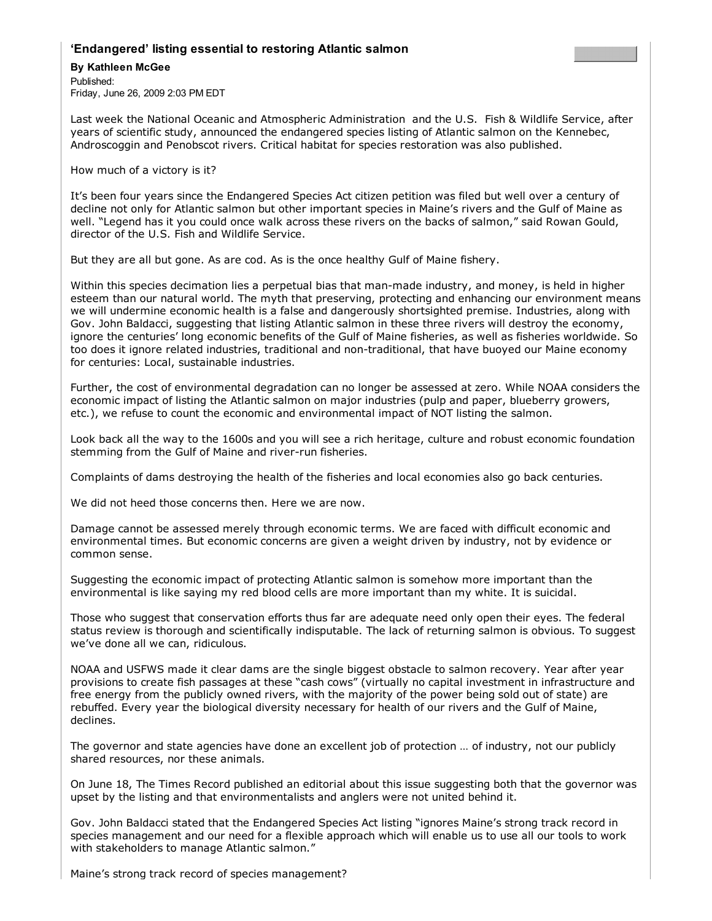## **'Endangered' listing essential to restoring Atlantic salmon**

## **By Kathleen McGee**

Published: Friday, June 26, 2009 2:03 PM EDT

Last week the National Oceanic and Atmospheric Administration and the U.S. Fish & Wildlife Service, after years of scientific study, announced the endangered species listing of Atlantic salmon on the Kennebec, Androscoggin and Penobscot rivers. Critical habitat for species restoration was also published.

How much of a victory is it?

It's been four years since the Endangered Species Act citizen petition was filed but well over a century of decline not only for Atlantic salmon but other important species in Maine's rivers and the Gulf of Maine as well. "Legend has it you could once walk across these rivers on the backs of salmon," said Rowan Gould, director of the U.S. Fish and Wildlife Service.

But they are all but gone. As are cod. As is the once healthy Gulf of Maine fishery.

Within this species decimation lies a perpetual bias that man-made industry, and money, is held in higher esteem than our natural world. The myth that preserving, protecting and enhancing our environment means we will undermine economic health is a false and dangerously shortsighted premise. Industries, along with Gov. John Baldacci, suggesting that listing Atlantic salmon in these three rivers will destroy the economy, ignore the centuries' long economic benefits of the Gulf of Maine fisheries, as well as fisheries worldwide. So too does it ignore related industries, traditional and non-traditional, that have buoyed our Maine economy for centuries: Local, sustainable industries.

Further, the cost of environmental degradation can no longer be assessed at zero. While NOAA considers the economic impact of listing the Atlantic salmon on major industries (pulp and paper, blueberry growers, etc.), we refuse to count the economic and environmental impact of NOT listing the salmon.

Look back all the way to the 1600s and you will see a rich heritage, culture and robust economic foundation stemming from the Gulf of Maine and river-run fisheries.

Complaints of dams destroying the health of the fisheries and local economies also go back centuries.

We did not heed those concerns then. Here we are now.

Damage cannot be assessed merely through economic terms. We are faced with difficult economic and environmental times. But economic concerns are given a weight driven by industry, not by evidence or common sense.

Suggesting the economic impact of protecting Atlantic salmon is somehow more important than the environmental is like saying my red blood cells are more important than my white. It is suicidal.

Those who suggest that conservation efforts thus far are adequate need only open their eyes. The federal status review is thorough and scientifically indisputable. The lack of returning salmon is obvious. To suggest we've done all we can, ridiculous.

NOAA and USFWS made it clear dams are the single biggest obstacle to salmon recovery. Year after year provisions to create fish passages at these "cash cows" (virtually no capital investment in infrastructure and free energy from the publicly owned rivers, with the majority of the power being sold out of state) are rebuffed. Every year the biological diversity necessary for health of our rivers and the Gulf of Maine, declines.

The governor and state agencies have done an excellent job of protection … of industry, not our publicly shared resources, nor these animals.

On June 18, The Times Record published an editorial about this issue suggesting both that the governor was upset by the listing and that environmentalists and anglers were not united behind it.

Gov. John Baldacci stated that the Endangered Species Act listing "ignores Maine's strong track record in species management and our need for a flexible approach which will enable us to use all our tools to work with stakeholders to manage Atlantic salmon."

Maine's strong track record of species management?